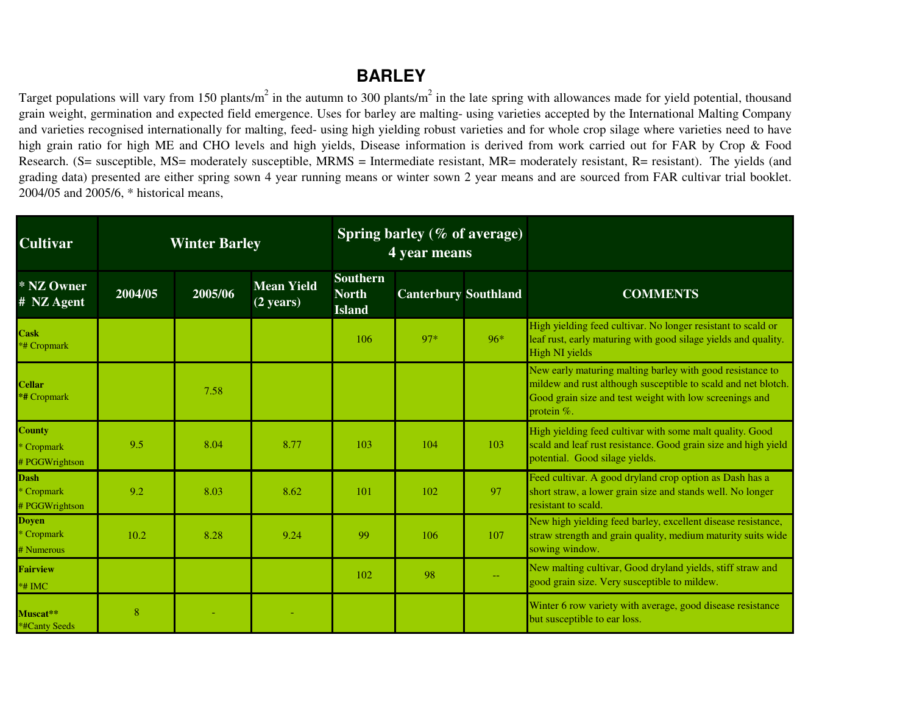## **BARLEY**

Target populations will vary from 150 plants/m<sup>2</sup> in the autumn to 300 plants/m<sup>2</sup> in the late spring with allowances made for yield potential, thousand grain weight, germination and expected field emergence. Uses for barley are malting- using varieties accepted by the International Malting Company and varieties recognised internationally for malting, feed- using high yielding robust varieties and for whole crop silage where varieties need to have high grain ratio for high ME and CHO levels and high yields, Disease information is derived from work carried out for FAR by Crop & Food Research. (S= susceptible, MS= moderately susceptible, MRMS <sup>=</sup> Intermediate resistant, MR= moderately resistant, R= resistant). The yields (and grading data) presented are either spring sown 4 year running means or winter sown 2 year means and are sourced from FAR cultivar trial booklet. 2004/05 and 2005/6, \* historical means,

| <b>Cultivar</b>                               | <b>Winter Barley</b> |         |                                          |                                                  | Spring barley ( $%$ of average)<br>4 year means |     |                                                                                                                                                                                                        |
|-----------------------------------------------|----------------------|---------|------------------------------------------|--------------------------------------------------|-------------------------------------------------|-----|--------------------------------------------------------------------------------------------------------------------------------------------------------------------------------------------------------|
| * NZ Owner<br># NZ Agent                      | 2004/05              | 2005/06 | <b>Mean Yield</b><br>$(2 \text{ years})$ | <b>Southern</b><br><b>North</b><br><b>Island</b> | <b>Canterbury Southland</b>                     |     | <b>COMMENTS</b>                                                                                                                                                                                        |
| <b>Cask</b><br><b>*# Cropmark</b>             |                      |         |                                          | 106                                              | 97*                                             | 96* | High yielding feed cultivar. No longer resistant to scald or<br>leaf rust, early maturing with good silage yields and quality.<br>High NI yields                                                       |
| <b>Cellar</b><br>*# Cropmark                  |                      | 7.58    |                                          |                                                  |                                                 |     | New early maturing malting barley with good resistance to<br>mildew and rust although susceptible to scald and net blotch.<br>Good grain size and test weight with low screenings and<br>protein $%$ . |
| <b>County</b><br>* Cropmark<br># PGGWrightson | 9.5                  | 8.04    | 8.77                                     | 103                                              | 104                                             | 103 | High yielding feed cultivar with some malt quality. Good<br>scald and leaf rust resistance. Good grain size and high yield<br>potential. Good silage yields.                                           |
| <b>Dash</b><br>* Cropmark<br># PGGWrightson   | 9.2                  | 8.03    | 8.62                                     | 101                                              | 102                                             | 97  | Feed cultivar. A good dryland crop option as Dash has a<br>short straw, a lower grain size and stands well. No longer<br>resistant to scald.                                                           |
| <b>Doven</b><br>* Cropmark<br># Numerous      | 10.2                 | 8.28    | 9.24                                     | 99                                               | 106                                             | 107 | New high yielding feed barley, excellent disease resistance,<br>straw strength and grain quality, medium maturity suits wide<br>sowing window.                                                         |
| <b>Fairview</b><br>*# IMC                     |                      |         |                                          | 102                                              | 98                                              |     | New malting cultivar, Good dryland yields, stiff straw and<br>good grain size. Very susceptible to mildew.                                                                                             |
| Muscat**<br>*#Canty Seeds                     | 8                    |         |                                          |                                                  |                                                 |     | Winter 6 row variety with average, good disease resistance<br>but susceptible to ear loss.                                                                                                             |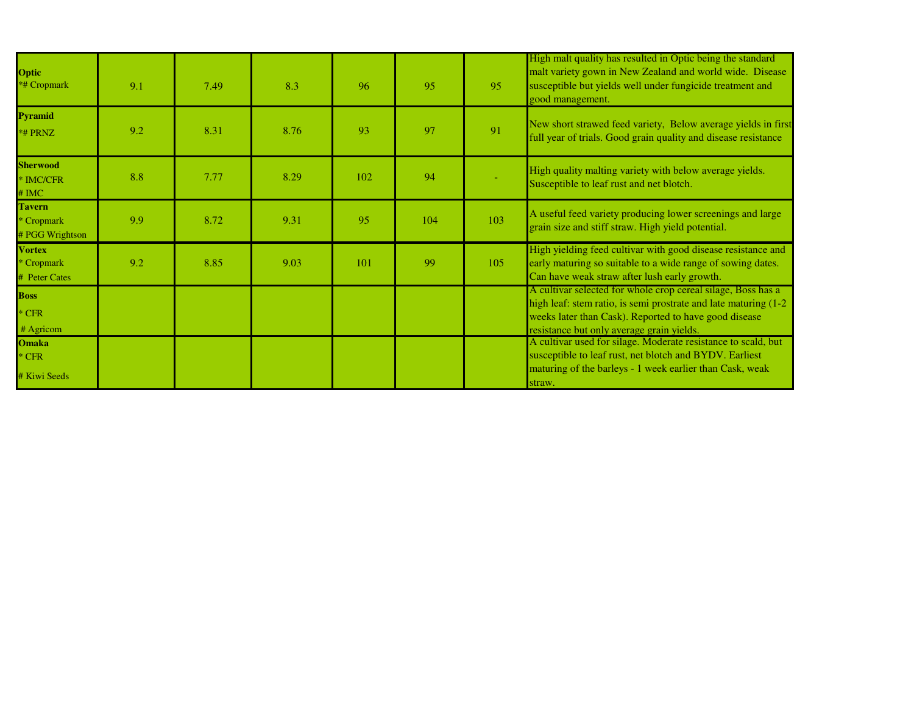| <b>Optic</b><br>*# Cropmark                    | 9.1 | 7.49 | 8.3  | 96  | 95  | 95  | High malt quality has resulted in Optic being the standard<br>malt variety gown in New Zealand and world wide. Disease<br>susceptible but yields well under fungicide treatment and<br>good management.                                     |
|------------------------------------------------|-----|------|------|-----|-----|-----|---------------------------------------------------------------------------------------------------------------------------------------------------------------------------------------------------------------------------------------------|
| <b>Pyramid</b><br>*# PRNZ                      | 9.2 | 8.31 | 8.76 | 93  | 97  | 91  | New short strawed feed variety, Below average yields in first<br>full year of trials. Good grain quality and disease resistance                                                                                                             |
| <b>Sherwood</b><br>* IMC/CFR<br># IMC          | 8.8 | 7.77 | 8.29 | 102 | 94  |     | High quality malting variety with below average yields.<br>Susceptible to leaf rust and net blotch.                                                                                                                                         |
| <b>Tavern</b><br>* Cropmark<br># PGG Wrightson | 9.9 | 8.72 | 9.31 | 95  | 104 | 103 | A useful feed variety producing lower screenings and large<br>grain size and stiff straw. High yield potential.                                                                                                                             |
| <b>Vortex</b><br>* Cropmark<br># Peter Cates   | 9.2 | 8.85 | 9.03 | 101 | 99  | 105 | High yielding feed cultivar with good disease resistance and<br>early maturing so suitable to a wide range of sowing dates.<br>Can have weak straw after lush early growth.                                                                 |
| <b>Boss</b><br>$*$ CFR<br># Agricom            |     |      |      |     |     |     | A cultivar selected for whole crop cereal silage, Boss has a<br>high leaf: stem ratio, is semi prostrate and late maturing (1-2)<br>weeks later than Cask). Reported to have good disease                                                   |
| <b>Omaka</b><br>$*$ CFR<br># Kiwi Seeds        |     |      |      |     |     |     | resistance but only average grain yields.<br>A cultivar used for silage. Moderate resistance to scald, but<br>susceptible to leaf rust, net blotch and BYDV. Earliest<br>maturing of the barleys - 1 week earlier than Cask, weak<br>straw. |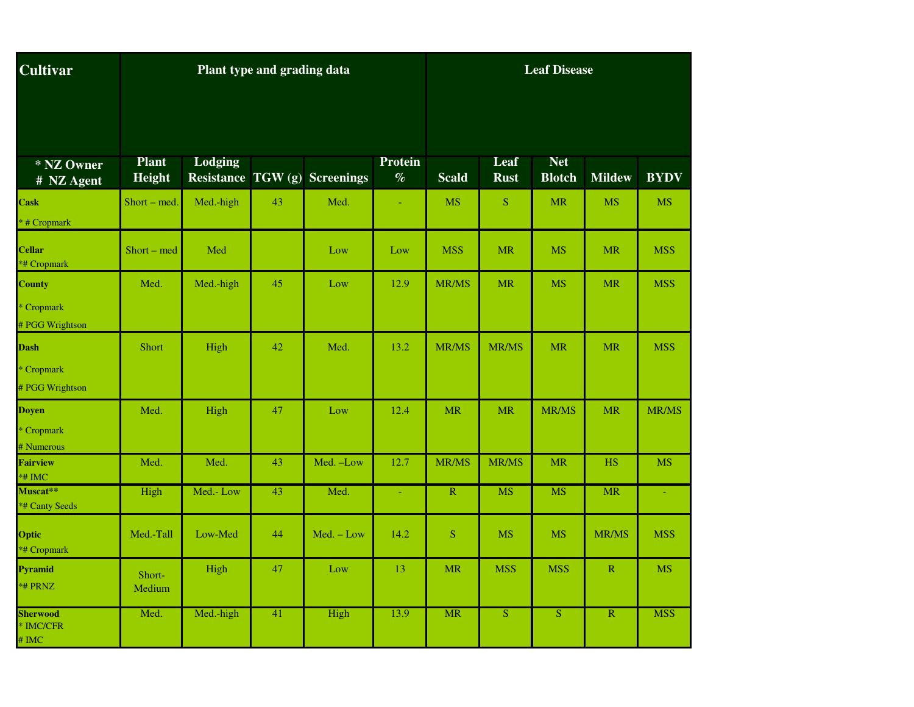| <b>Cultivar</b>                                |                        |           | Plant type and grading data |                                      | <b>Leaf Disease</b> |                         |                     |                             |               |              |
|------------------------------------------------|------------------------|-----------|-----------------------------|--------------------------------------|---------------------|-------------------------|---------------------|-----------------------------|---------------|--------------|
|                                                |                        |           |                             |                                      |                     |                         |                     |                             |               |              |
| * NZ Owner<br># NZ Agent                       | <b>Plant</b><br>Height | Lodging   |                             | <b>Resistance TGW (g) Screenings</b> | Protein<br>$\%$     | <b>Scald</b>            | Leaf<br><b>Rust</b> | <b>Net</b><br><b>Blotch</b> | <b>Mildew</b> | <b>BYDV</b>  |
| <b>Cask</b><br>* # Cropmark                    | Short – med.           | Med.-high | 43                          | Med.                                 |                     | <b>MS</b>               | <sub>S</sub>        | <b>MR</b>                   | <b>MS</b>     | <b>MS</b>    |
| <b>Cellar</b><br>*# Cropmark                   | Short – med            | Med       |                             | Low                                  | Low                 | <b>MSS</b>              | <b>MR</b>           | <b>MS</b>                   | <b>MR</b>     | <b>MSS</b>   |
| County<br>* Cropmark<br># PGG Wrightson        | Med.                   | Med.-high | 45                          | Low                                  | 12.9                | MR/MS                   | <b>MR</b>           | <b>MS</b>                   | <b>MR</b>     | <b>MSS</b>   |
| Dash<br>* Cropmark<br># PGG Wrightson          | Short                  | High      | 42                          | Med.                                 | 13.2                | <b>MR/MS</b>            | <b>MR/MS</b>        | <b>MR</b>                   | <b>MR</b>     | <b>MSS</b>   |
| Doyen<br>* Cropmark<br># Numerous              | Med.                   | High      | 47                          | Low                                  | 12.4                | <b>MR</b>               | <b>MR</b>           | MR/MS                       | <b>MR</b>     | <b>MR/MS</b> |
| <b>Fairview</b><br>$*$ # IMC                   | Med.                   | Med.      | 43                          | Med. -Low                            | 12.7                | MR/MS                   | MR/MS               | <b>MR</b>                   | <b>HS</b>     | <b>MS</b>    |
| Muscat**<br>*# Canty Seeds                     | High                   | Med.-Low  | 43                          | Med.                                 | $\sim$              | $\overline{\mathbf{R}}$ | <b>MS</b>           | <b>MS</b>                   | <b>MR</b>     |              |
| Optic<br>*# Cropmark                           | Med.-Tall              | Low-Med   | 44                          | $Med. - Low$                         | 14.2                | <sub>S</sub>            | <b>MS</b>           | <b>MS</b>                   | MR/MS         | <b>MSS</b>   |
| Pyramid<br>*# PRNZ                             | Short-<br>Medium       | High      | 47                          | Low                                  | 13                  | <b>MR</b>               | <b>MSS</b>          | <b>MSS</b>                  | $\mathbb{R}$  | <b>MS</b>    |
| <b>Sherwood</b><br>* IMC/CFR<br>$# \text{IMC}$ | Med.                   | Med.-high | 41                          | High                                 | 13.9                | <b>MR</b>               | <sub>S</sub>        | <sub>S</sub>                | $\mathbb{R}$  | <b>MSS</b>   |